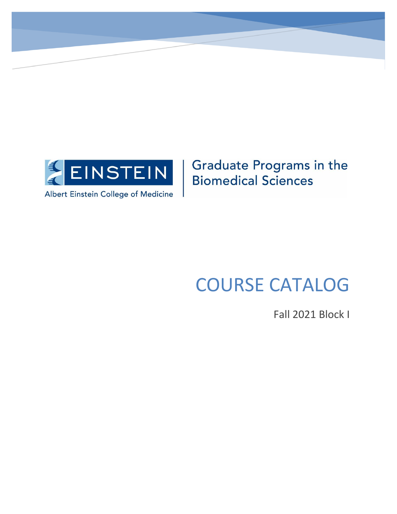

## **Graduate Programs in the Biomedical Sciences**

# COURSE CATALOG

Fall 2021 Block I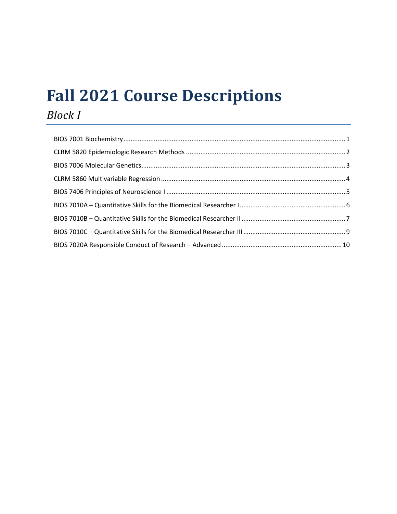# **Fall 2021 Course Descriptions**

## *Block I*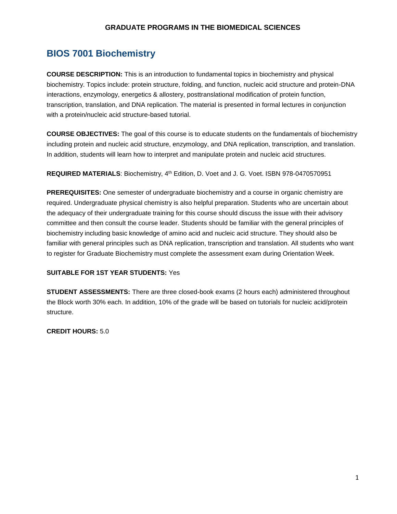## <span id="page-2-0"></span>**BIOS 7001 Biochemistry**

**COURSE DESCRIPTION:** This is an introduction to fundamental topics in biochemistry and physical biochemistry. Topics include: protein structure, folding, and function, nucleic acid structure and protein-DNA interactions, enzymology, energetics & allostery, posttranslational modification of protein function, transcription, translation, and DNA replication. The material is presented in formal lectures in conjunction with a protein/nucleic acid structure-based tutorial.

**COURSE OBJECTIVES:** The goal of this course is to educate students on the fundamentals of biochemistry including protein and nucleic acid structure, enzymology, and DNA replication, transcription, and translation. In addition, students will learn how to interpret and manipulate protein and nucleic acid structures.

**REQUIRED MATERIALS**: Biochemistry, 4th Edition, D. Voet and J. G. Voet. ISBN 978-0470570951

**PREREQUISITES:** One semester of undergraduate biochemistry and a course in organic chemistry are required. Undergraduate physical chemistry is also helpful preparation. Students who are uncertain about the adequacy of their undergraduate training for this course should discuss the issue with their advisory committee and then consult the course leader. Students should be familiar with the general principles of biochemistry including basic knowledge of amino acid and nucleic acid structure. They should also be familiar with general principles such as DNA replication, transcription and translation. All students who want to register for Graduate Biochemistry must complete the assessment exam during Orientation Week.

#### **SUITABLE FOR 1ST YEAR STUDENTS:** Yes

**STUDENT ASSESSMENTS:** There are three closed-book exams (2 hours each) administered throughout the Block worth 30% each. In addition, 10% of the grade will be based on tutorials for nucleic acid/protein structure.

**CREDIT HOURS:** 5.0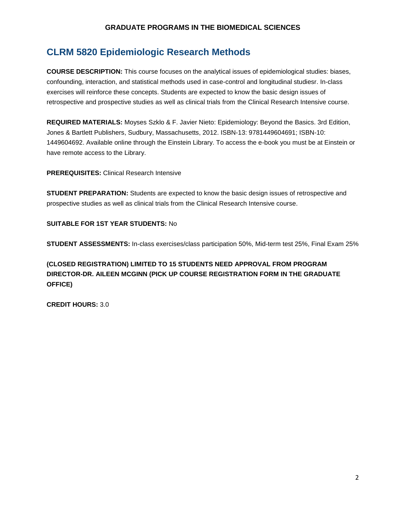## <span id="page-3-0"></span>**CLRM 5820 Epidemiologic Research Methods**

**COURSE DESCRIPTION:** This course focuses on the analytical issues of epidemiological studies: biases, confounding, interaction, and statistical methods used in case-control and longitudinal studiesr. In-class exercises will reinforce these concepts. Students are expected to know the basic design issues of retrospective and prospective studies as well as clinical trials from the Clinical Research Intensive course.

**REQUIRED MATERIALS:** Moyses Szklo & F. Javier Nieto: Epidemiology: Beyond the Basics. 3rd Edition, Jones & Bartlett Publishers, Sudbury, Massachusetts, 2012. ISBN-13: 9781449604691; ISBN-10: 1449604692. Available online through the Einstein Library. To access the e-book you must be at Einstein or have remote access to the Library.

**PREREQUISITES:** Clinical Research Intensive

**STUDENT PREPARATION:** Students are expected to know the basic design issues of retrospective and prospective studies as well as clinical trials from the Clinical Research Intensive course.

#### **SUITABLE FOR 1ST YEAR STUDENTS:** No

**STUDENT ASSESSMENTS:** In-class exercises/class participation 50%, Mid-term test 25%, Final Exam 25%

**(CLOSED REGISTRATION) LIMITED TO 15 STUDENTS NEED APPROVAL FROM PROGRAM DIRECTOR-DR. AILEEN MCGINN (PICK UP COURSE REGISTRATION FORM IN THE GRADUATE OFFICE)**

**CREDIT HOURS:** 3.0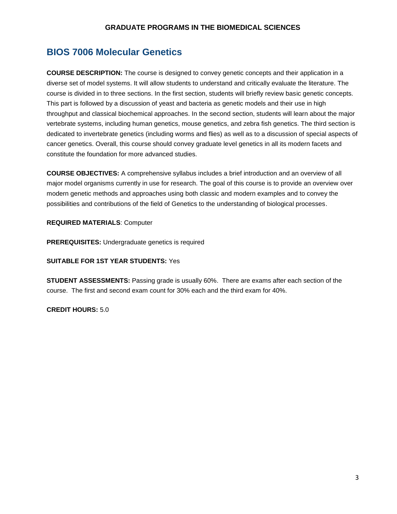### <span id="page-4-0"></span>**BIOS 7006 Molecular Genetics**

**COURSE DESCRIPTION:** The course is designed to convey genetic concepts and their application in a diverse set of model systems. It will allow students to understand and critically evaluate the literature. The course is divided in to three sections. In the first section, students will briefly review basic genetic concepts. This part is followed by a discussion of yeast and bacteria as genetic models and their use in high throughput and classical biochemical approaches. In the second section, students will learn about the major vertebrate systems, including human genetics, mouse genetics, and zebra fish genetics. The third section is dedicated to invertebrate genetics (including worms and flies) as well as to a discussion of special aspects of cancer genetics. Overall, this course should convey graduate level genetics in all its modern facets and constitute the foundation for more advanced studies.

**COURSE OBJECTIVES:** A comprehensive syllabus includes a brief introduction and an overview of all major model organisms currently in use for research. The goal of this course is to provide an overview over modern genetic methods and approaches using both classic and modern examples and to convey the possibilities and contributions of the field of Genetics to the understanding of biological processes.

**REQUIRED MATERIALS**: Computer

**PREREQUISITES:** Undergraduate genetics is required

#### **SUITABLE FOR 1ST YEAR STUDENTS:** Yes

**STUDENT ASSESSMENTS:** Passing grade is usually 60%. There are exams after each section of the course. The first and second exam count for 30% each and the third exam for 40%.

**CREDIT HOURS:** 5.0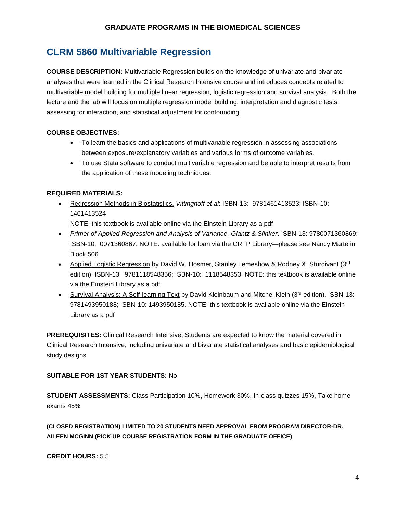## <span id="page-5-0"></span>**CLRM 5860 Multivariable Regression**

**COURSE DESCRIPTION:** Multivariable Regression builds on the knowledge of univariate and bivariate analyses that were learned in the Clinical Research Intensive course and introduces concepts related to multivariable model building for multiple linear regression, logistic regression and survival analysis. Both the lecture and the lab will focus on multiple regression model building, interpretation and diagnostic tests, assessing for interaction, and statistical adjustment for confounding.

#### **COURSE OBJECTIVES:**

- To learn the basics and applications of multivariable regression in assessing associations between exposure/explanatory variables and various forms of outcome variables.
- To use Stata software to conduct multivariable regression and be able to interpret results from the application of these modeling techniques.

#### **REQUIRED MATERIALS:**

- Regression Methods in Biostatistics. *Vittinghoff et al*: ISBN-13: 9781461413523; ISBN-10: 1461413524 NOTE: this textbook is available online via the Einstein Library as a pdf
- *Primer of Applied Regression and Analysis of Variance. Glantz & Slinker*. ISBN-13: 9780071360869; ISBN-10: 0071360867. NOTE: available for loan via the CRTP Library—please see Nancy Marte in Block 506
- Applied Logistic Regression by David W. Hosmer, Stanley Lemeshow & Rodney X. Sturdivant ( $3<sup>rd</sup>$ edition). ISBN-13: 9781118548356; ISBN-10: 1118548353. NOTE: this textbook is available online via the Einstein Library as a pdf
- Survival Analysis: A Self-learning Text by David Kleinbaum and Mitchel Klein ( $3<sup>rd</sup>$  edition). ISBN-13: 9781493950188; ISBN-10: 1493950185. NOTE: this textbook is available online via the Einstein Library as a pdf

**PREREQUISITES:** Clinical Research Intensive; Students are expected to know the material covered in Clinical Research Intensive, including univariate and bivariate statistical analyses and basic epidemiological study designs.

#### **SUITABLE FOR 1ST YEAR STUDENTS:** No

**STUDENT ASSESSMENTS:** Class Participation 10%, Homework 30%, In-class quizzes 15%, Take home exams 45%

**(CLOSED REGISTRATION) LIMITED TO 20 STUDENTS NEED APPROVAL FROM PROGRAM DIRECTOR-DR. AILEEN MCGINN (PICK UP COURSE REGISTRATION FORM IN THE GRADUATE OFFICE)**

**CREDIT HOURS:** 5.5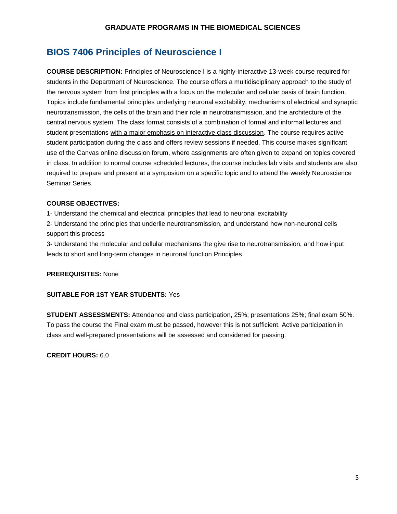## <span id="page-6-0"></span>**BIOS 7406 Principles of Neuroscience I**

**COURSE DESCRIPTION:** Principles of Neuroscience I is a highly-interactive 13-week course required for students in the Department of Neuroscience. The course offers a multidisciplinary approach to the study of the nervous system from first principles with a focus on the molecular and cellular basis of brain function. Topics include fundamental principles underlying neuronal excitability, mechanisms of electrical and synaptic neurotransmission, the cells of the brain and their role in neurotransmission, and the architecture of the central nervous system. The class format consists of a combination of formal and informal lectures and student presentations with a major emphasis on interactive class discussion. The course requires active student participation during the class and offers review sessions if needed. This course makes significant use of the Canvas online discussion forum, where assignments are often given to expand on topics covered in class. In addition to normal course scheduled lectures, the course includes lab visits and students are also required to prepare and present at a symposium on a specific topic and to attend the weekly Neuroscience Seminar Series.

#### **COURSE OBJECTIVES:**

1- Understand the chemical and electrical principles that lead to neuronal excitability

2- Understand the principles that underlie neurotransmission, and understand how non-neuronal cells support this process

3- Understand the molecular and cellular mechanisms the give rise to neurotransmission, and how input leads to short and long-term changes in neuronal function Principles

#### **PREREQUISITES:** None

#### **SUITABLE FOR 1ST YEAR STUDENTS:** Yes

**STUDENT ASSESSMENTS:** Attendance and class participation, 25%; presentations 25%; final exam 50%. To pass the course the Final exam must be passed, however this is not sufficient. Active participation in class and well-prepared presentations will be assessed and considered for passing.

**CREDIT HOURS:** 6.0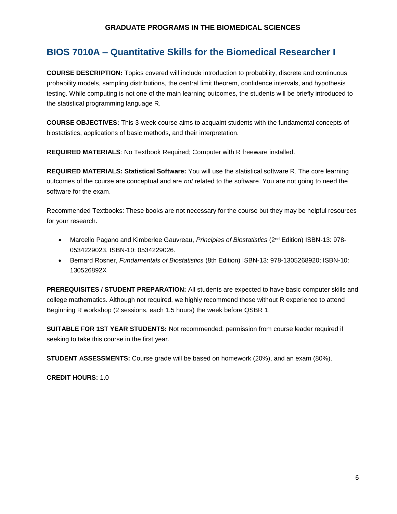## <span id="page-7-0"></span>**BIOS 7010A – Quantitative Skills for the Biomedical Researcher I**

**COURSE DESCRIPTION:** Topics covered will include introduction to probability, discrete and continuous probability models, sampling distributions, the central limit theorem, confidence intervals, and hypothesis testing. While computing is not one of the main learning outcomes, the students will be briefly introduced to the statistical programming language R.

**COURSE OBJECTIVES:** This 3-week course aims to acquaint students with the fundamental concepts of biostatistics, applications of basic methods, and their interpretation.

**REQUIRED MATERIALS**: No Textbook Required; Computer with R freeware installed.

**REQUIRED MATERIALS: Statistical Software:** You will use the statistical software R. The core learning outcomes of the course are conceptual and are *not* related to the software. You are not going to need the software for the exam.

Recommended Textbooks: These books are not necessary for the course but they may be helpful resources for your research.

- **Marcello Pagano and Kimberlee Gauvreau,** *Principles of Biostatistics* **(2<sup>nd</sup> Edition) ISBN-13: 978-**0534229023, ISBN-10: 0534229026.
- Bernard Rosner, *Fundamentals of Biostatistics* (8th Edition) ISBN-13: 978-1305268920; ISBN-10: 130526892X

**PREREQUISITES / STUDENT PREPARATION:** All students are expected to have basic computer skills and college mathematics. Although not required, we highly recommend those without R experience to attend Beginning R workshop (2 sessions, each 1.5 hours) the week before QSBR 1.

**SUITABLE FOR 1ST YEAR STUDENTS:** Not recommended; permission from course leader required if seeking to take this course in the first year.

**STUDENT ASSESSMENTS:** Course grade will be based on homework (20%), and an exam (80%).

**CREDIT HOURS:** 1.0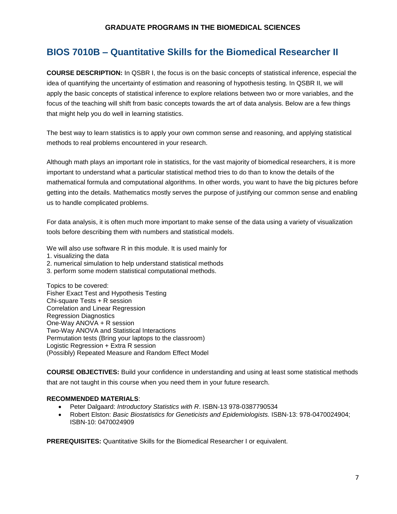## <span id="page-8-0"></span>**BIOS 7010B – Quantitative Skills for the Biomedical Researcher II**

**COURSE DESCRIPTION:** In QSBR I, the focus is on the basic concepts of statistical inference, especial the idea of quantifying the uncertainty of estimation and reasoning of hypothesis testing. In QSBR II, we will apply the basic concepts of statistical inference to explore relations between two or more variables, and the focus of the teaching will shift from basic concepts towards the art of data analysis. Below are a few things that might help you do well in learning statistics.

The best way to learn statistics is to apply your own common sense and reasoning, and applying statistical methods to real problems encountered in your research.

Although math plays an important role in statistics, for the vast majority of biomedical researchers, it is more important to understand what a particular statistical method tries to do than to know the details of the mathematical formula and computational algorithms. In other words, you want to have the big pictures before getting into the details. Mathematics mostly serves the purpose of justifying our common sense and enabling us to handle complicated problems.

For data analysis, it is often much more important to make sense of the data using a variety of visualization tools before describing them with numbers and statistical models.

We will also use software R in this module. It is used mainly for

- 1. visualizing the data
- 2. numerical simulation to help understand statistical methods
- 3. perform some modern statistical computational methods.

Topics to be covered: Fisher Exact Test and Hypothesis Testing Chi-square Tests + R session Correlation and Linear Regression Regression Diagnostics One-Way ANOVA + R session Two-Way ANOVA and Statistical Interactions Permutation tests (Bring your laptops to the classroom) Logistic Regression + Extra R session (Possibly) Repeated Measure and Random Effect Model

**COURSE OBJECTIVES:** Build your confidence in understanding and using at least some statistical methods that are not taught in this course when you need them in your future research.

#### **RECOMMENDED MATERIALS**:

- Peter Dalgaard: *Introductory Statistics with R*. ISBN-13 978-0387790534
- Robert Elston: *Basic Biostatistics for Geneticists and Epidemiologists.* ISBN-13: 978-0470024904; ISBN-10: 0470024909

**PREREQUISITES:** Quantitative Skills for the Biomedical Researcher I or equivalent.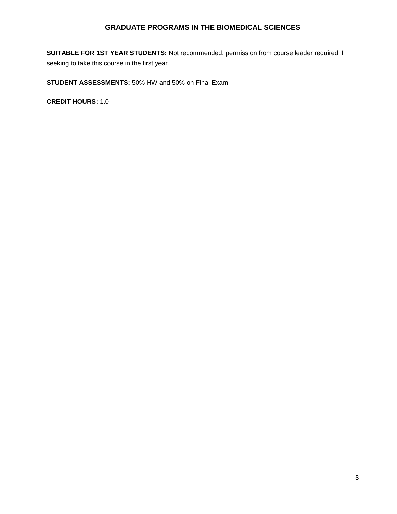**SUITABLE FOR 1ST YEAR STUDENTS:** Not recommended; permission from course leader required if seeking to take this course in the first year.

**STUDENT ASSESSMENTS:** 50% HW and 50% on Final Exam

**CREDIT HOURS:** 1.0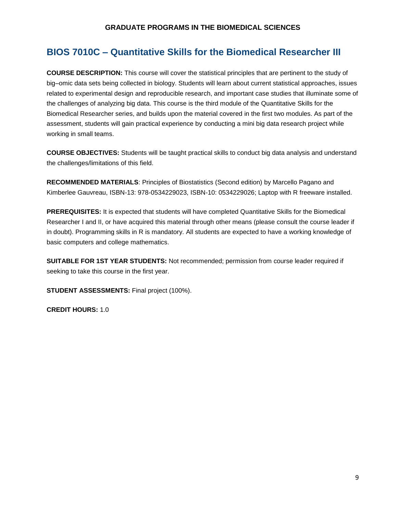### <span id="page-10-0"></span>**BIOS 7010C – Quantitative Skills for the Biomedical Researcher III**

**COURSE DESCRIPTION:** This course will cover the statistical principles that are pertinent to the study of big–omic data sets being collected in biology. Students will learn about current statistical approaches, issues related to experimental design and reproducible research, and important case studies that illuminate some of the challenges of analyzing big data. This course is the third module of the Quantitative Skills for the Biomedical Researcher series, and builds upon the material covered in the first two modules. As part of the assessment, students will gain practical experience by conducting a mini big data research project while working in small teams.

**COURSE OBJECTIVES:** Students will be taught practical skills to conduct big data analysis and understand the challenges/limitations of this field.

**RECOMMENDED MATERIALS**: Principles of Biostatistics (Second edition) by Marcello Pagano and Kimberlee Gauvreau, ISBN-13: 978-0534229023, ISBN-10: 0534229026; Laptop with R freeware installed.

**PREREQUISITES:** It is expected that students will have completed Quantitative Skills for the Biomedical Researcher I and II, or have acquired this material through other means (please consult the course leader if in doubt). Programming skills in R is mandatory. All students are expected to have a working knowledge of basic computers and college mathematics.

**SUITABLE FOR 1ST YEAR STUDENTS:** Not recommended; permission from course leader required if seeking to take this course in the first year.

**STUDENT ASSESSMENTS: Final project (100%).** 

**CREDIT HOURS:** 1.0